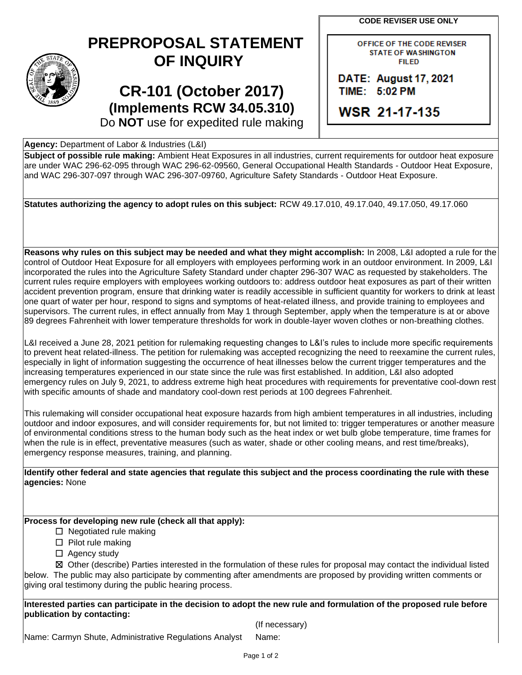**CODE REVISER USE ONLY**

## **PREPROPOSAL STATEMENT OF INQUIRY**

**CR-101 (October 2017) (Implements RCW 34.05.310)** OFFICE OF THE CODE REVISER **STATE OF WASHINGTON FILED** 

DATE: August 17, 2021 TIME: 5:02 PM

**WSR 21-17-135** 

Do **NOT** use for expedited rule making

## **Agency:** Department of Labor & Industries (L&I)

**Subject of possible rule making:** Ambient Heat Exposures in all industries, current requirements for outdoor heat exposure are under WAC 296-62-095 through WAC 296-62-09560, General Occupational Health Standards - Outdoor Heat Exposure, and WAC 296-307-097 through WAC 296-307-09760, Agriculture Safety Standards - Outdoor Heat Exposure.

**Statutes authorizing the agency to adopt rules on this subject:** RCW 49.17.010, 49.17.040, 49.17.050, 49.17.060

**Reasons why rules on this subject may be needed and what they might accomplish:** In 2008, L&I adopted a rule for the control of Outdoor Heat Exposure for all employers with employees performing work in an outdoor environment. In 2009, L&I incorporated the rules into the Agriculture Safety Standard under chapter 296-307 WAC as requested by stakeholders. The current rules require employers with employees working outdoors to: address outdoor heat exposures as part of their written accident prevention program, ensure that drinking water is readily accessible in sufficient quantity for workers to drink at least one quart of water per hour, respond to signs and symptoms of heat-related illness, and provide training to employees and supervisors. The current rules, in effect annually from May 1 through September, apply when the temperature is at or above 89 degrees Fahrenheit with lower temperature thresholds for work in double-layer woven clothes or non-breathing clothes.

L&I received a June 28, 2021 petition for rulemaking requesting changes to L&I's rules to include more specific requirements to prevent heat related-illness. The petition for rulemaking was accepted recognizing the need to reexamine the current rules, especially in light of information suggesting the occurrence of heat illnesses below the current trigger temperatures and the increasing temperatures experienced in our state since the rule was first established. In addition, L&I also adopted emergency rules on July 9, 2021, to address extreme high heat procedures with requirements for preventative cool-down rest with specific amounts of shade and mandatory cool-down rest periods at 100 degrees Fahrenheit.

This rulemaking will consider occupational heat exposure hazards from high ambient temperatures in all industries, including outdoor and indoor exposures, and will consider requirements for, but not limited to: trigger temperatures or another measure of environmental conditions stress to the human body such as the heat index or wet bulb globe temperature, time frames for when the rule is in effect, preventative measures (such as water, shade or other cooling means, and rest time/breaks), emergency response measures, training, and planning.

**Identify other federal and state agencies that regulate this subject and the process coordinating the rule with these agencies:** None

**Process for developing new rule (check all that apply):**

 $\Box$  Negotiated rule making

- ☐ Pilot rule making
- □ Agency study

☒ Other (describe) Parties interested in the formulation of these rules for proposal may contact the individual listed below. The public may also participate by commenting after amendments are proposed by providing written comments or giving oral testimony during the public hearing process.

**Interested parties can participate in the decision to adopt the new rule and formulation of the proposed rule before publication by contacting:**

(If necessary)

Name: Carmyn Shute, Administrative Regulations Analyst Name: